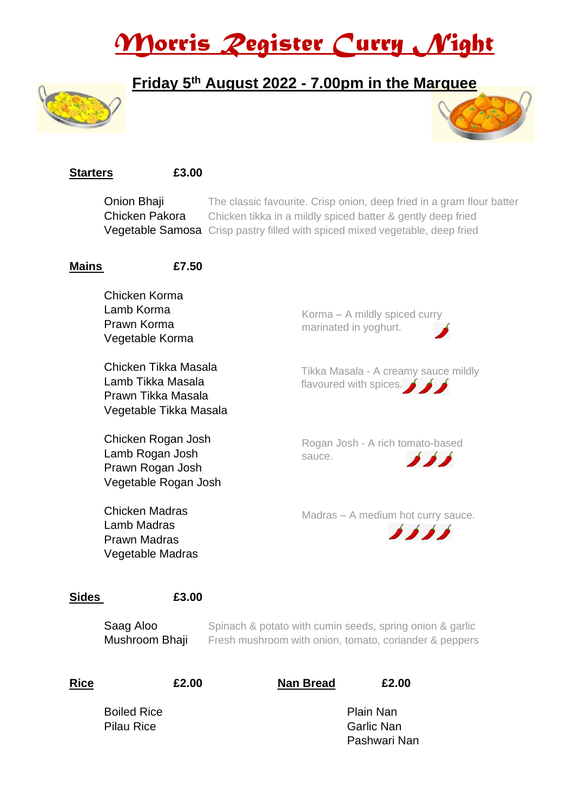# *Morris Register Curry Night*

#### **Friday 5 th August 2022 - 7.00pm in the Marquee**





#### **Starters £3.00**

**Onion Bhaji** The classic favourite. Crisp onion, deep fried in a gram flour batter **Chicken Pakora** Chicken tikka in a mildly spiced batter & gently deep fried Vegetable Samosa Crisp pastry filled with spiced mixed vegetable, deep fried

#### **Mains £7.50**

Chicken Korma Lamb Korma Prawn Korma Vegetable Korma

Chicken Tikka Masala Lamb Tikka Masala Prawn Tikka Masala Vegetable Tikka Masala

Chicken Rogan Josh Lamb Rogan Josh Prawn Rogan Josh Vegetable Rogan Josh

Chicken Madras Lamb Madras Prawn Madras Vegetable Madras Korma – A mildly spiced curry marinated in yoghurt.

Tikka Masala - A creamy sauce mildly flavoured with spices.

Rogan Josh - A rich tomato-based sauce.  $\bullet$   $\bullet$   $\bullet$ 

Madras – A medium hot curry sauce.



#### **Sides £3.00**

**Saag Aloo** Spinach & potato with cumin seeds, spring onion & garlic **Mushroom Bhaji** Fresh mushroom with onion, tomato, coriander & peppers

**Rice £2.00 Nan Bread £2.00**

Boiled Rice **Plain Nan** Pilau Rice Garlic Nan

Pashwari Nan